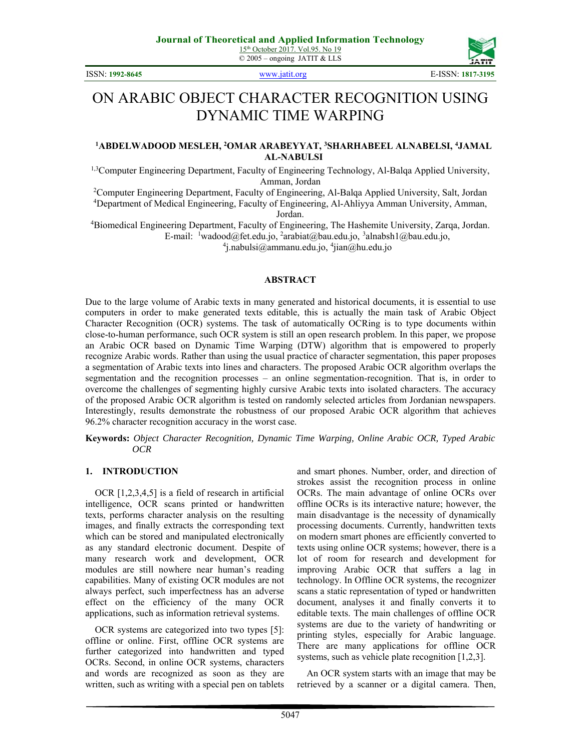ISSN: **1992-8645** www.jatit.org E-ISSN: **1817-3195**



# ON ARABIC OBJECT CHARACTER RECOGNITION USING DYNAMIC TIME WARPING

#### **1 ABDELWADOOD MESLEH, 2 OMAR ARABEYYAT, 3 SHARHABEEL ALNABELSI, 4 JAMAL AL-NABULSI**

<sup>1,3</sup>Computer Engineering Department, Faculty of Engineering Technology, Al-Balqa Applied University, Amman, Jordan<br><sup>2</sup>Computer Engineering Department, Eaculty of Engineering

<sup>2</sup>Computer Engineering Department, Faculty of Engineering, Al-Balqa Applied University, Salt, Jordan <sup>4</sup><br><sup>4</sup>Department of Medical Engineering, Eaculty of Engineering, Al-Abliyya Amman University, Amman Department of Medical Engineering, Faculty of Engineering, Al-Ahliyya Amman University, Amman,

Jordan. 4 Biomedical Engineering Department, Faculty of Engineering, The Hashemite University, Zarqa, Jordan. E-mail: <sup>1</sup>wadood@fet.edu.jo, <sup>2</sup>arabiat@bau.edu.jo, <sup>3</sup>alnabsh1@bau.edu.jo, <sup>4</sup><br><sup>4</sup>i nabulsi@ammanu edu.jo, <sup>4</sup>ijan@bu edu.jo

j.nabulsi@ammanu.edu.jo, 4 jian@hu.edu.jo

#### **ABSTRACT**

Due to the large volume of Arabic texts in many generated and historical documents, it is essential to use computers in order to make generated texts editable, this is actually the main task of Arabic Object Character Recognition (OCR) systems. The task of automatically OCRing is to type documents within close-to-human performance, such OCR system is still an open research problem. In this paper, we propose an Arabic OCR based on Dynamic Time Warping (DTW) algorithm that is empowered to properly recognize Arabic words. Rather than using the usual practice of character segmentation, this paper proposes a segmentation of Arabic texts into lines and characters. The proposed Arabic OCR algorithm overlaps the segmentation and the recognition processes – an online segmentation-recognition. That is, in order to overcome the challenges of segmenting highly cursive Arabic texts into isolated characters. The accuracy of the proposed Arabic OCR algorithm is tested on randomly selected articles from Jordanian newspapers. Interestingly, results demonstrate the robustness of our proposed Arabic OCR algorithm that achieves 96.2% character recognition accuracy in the worst case.

**Keywords:** *Object Character Recognition, Dynamic Time Warping, Online Arabic OCR, Typed Arabic OCR* 

#### **1. INTRODUCTION**

OCR [1,2,3,4,5] is a field of research in artificial intelligence, OCR scans printed or handwritten texts, performs character analysis on the resulting images, and finally extracts the corresponding text which can be stored and manipulated electronically as any standard electronic document. Despite of many research work and development, OCR modules are still nowhere near human's reading capabilities. Many of existing OCR modules are not always perfect, such imperfectness has an adverse effect on the efficiency of the many OCR applications, such as information retrieval systems.

OCR systems are categorized into two types [5]: offline or online. First, offline OCR systems are further categorized into handwritten and typed OCRs. Second, in online OCR systems, characters and words are recognized as soon as they are written, such as writing with a special pen on tablets and smart phones. Number, order, and direction of strokes assist the recognition process in online OCRs. The main advantage of online OCRs over offline OCRs is its interactive nature; however, the main disadvantage is the necessity of dynamically processing documents. Currently, handwritten texts on modern smart phones are efficiently converted to texts using online OCR systems; however, there is a lot of room for research and development for improving Arabic OCR that suffers a lag in technology. In Offline OCR systems, the recognizer scans a static representation of typed or handwritten document, analyses it and finally converts it to editable texts. The main challenges of offline OCR systems are due to the variety of handwriting or printing styles, especially for Arabic language. There are many applications for offline OCR systems, such as vehicle plate recognition [1,2,3].

An OCR system starts with an image that may be retrieved by a scanner or a digital camera. Then,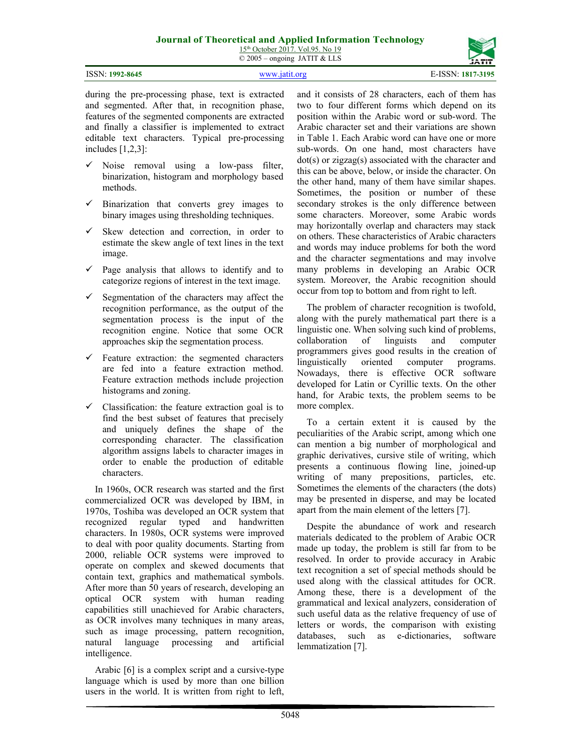15<sup>th</sup> October 2017. Vol.95. No 19 © 2005 – ongoing JATIT & LLS

| <b>ISSN: 1992-8645</b> |  |
|------------------------|--|

ISSN: **1992-8645** www.jatit.org E-ISSN: **1817-3195**



during the pre-processing phase, text is extracted and segmented. After that, in recognition phase, features of the segmented components are extracted and finally a classifier is implemented to extract editable text characters. Typical pre-processing includes [1,2,3]:

- $\checkmark$  Noise removal using a low-pass filter, binarization, histogram and morphology based methods.
- $\checkmark$  Binarization that converts grey images to binary images using thresholding techniques.
- $\checkmark$  Skew detection and correction, in order to estimate the skew angle of text lines in the text image.
- $\checkmark$  Page analysis that allows to identify and to categorize regions of interest in the text image.
- $\checkmark$  Segmentation of the characters may affect the recognition performance, as the output of the segmentation process is the input of the recognition engine. Notice that some OCR approaches skip the segmentation process.
- $\checkmark$  Feature extraction: the segmented characters are fed into a feature extraction method. Feature extraction methods include projection histograms and zoning.
- $\checkmark$  Classification: the feature extraction goal is to find the best subset of features that precisely and uniquely defines the shape of the corresponding character. The classification algorithm assigns labels to character images in order to enable the production of editable characters.

In 1960s, OCR research was started and the first commercialized OCR was developed by IBM, in 1970s, Toshiba was developed an OCR system that recognized regular typed and handwritten characters. In 1980s, OCR systems were improved to deal with poor quality documents. Starting from 2000, reliable OCR systems were improved to operate on complex and skewed documents that contain text, graphics and mathematical symbols. After more than 50 years of research, developing an optical OCR system with human reading capabilities still unachieved for Arabic characters, as OCR involves many techniques in many areas, such as image processing, pattern recognition, natural language processing and artificial intelligence.

Arabic [6] is a complex script and a cursive-type language which is used by more than one billion users in the world. It is written from right to left,

and it consists of 28 characters, each of them has two to four different forms which depend on its position within the Arabic word or sub-word. The Arabic character set and their variations are shown in Table 1. Each Arabic word can have one or more sub-words. On one hand, most characters have dot(s) or zigzag(s) associated with the character and this can be above, below, or inside the character. On the other hand, many of them have similar shapes. Sometimes, the position or number of these secondary strokes is the only difference between some characters. Moreover, some Arabic words may horizontally overlap and characters may stack on others. These characteristics of Arabic characters and words may induce problems for both the word and the character segmentations and may involve many problems in developing an Arabic OCR system. Moreover, the Arabic recognition should occur from top to bottom and from right to left.

The problem of character recognition is twofold, along with the purely mathematical part there is a linguistic one. When solving such kind of problems, collaboration of linguists and computer programmers gives good results in the creation of linguistically oriented computer programs. Nowadays, there is effective OCR software developed for Latin or Cyrillic texts. On the other hand, for Arabic texts, the problem seems to be more complex.

To a certain extent it is caused by the peculiarities of the Arabic script, among which one can mention a big number of morphological and graphic derivatives, cursive stile of writing, which presents a continuous flowing line, joined-up writing of many prepositions, particles, etc. Sometimes the elements of the characters (the dots) may be presented in disperse, and may be located apart from the main element of the letters [7].

Despite the abundance of work and research materials dedicated to the problem of Arabic OCR made up today, the problem is still far from to be resolved. In order to provide accuracy in Arabic text recognition a set of special methods should be used along with the classical attitudes for OCR. Among these, there is a development of the grammatical and lexical analyzers, consideration of such useful data as the relative frequency of use of letters or words, the comparison with existing databases, such as e-dictionaries, software lemmatization [7].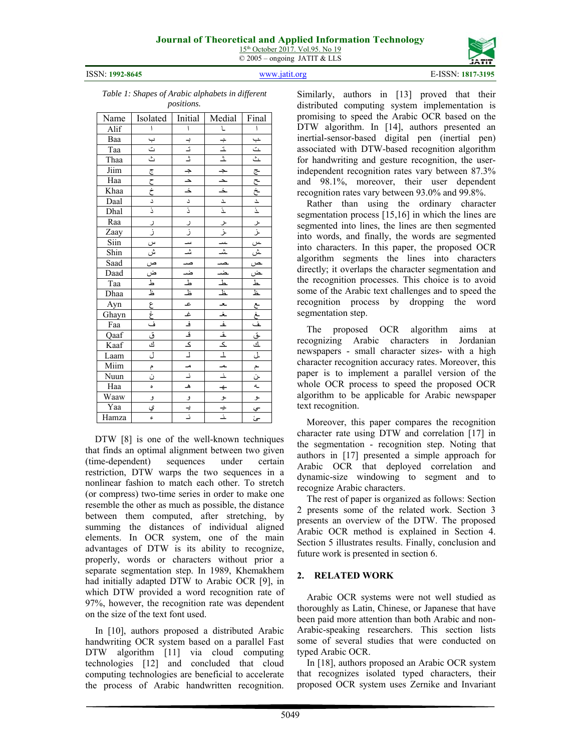



*Table 1: Shapes of Arabic alphabets in different positions.*

| Name                             | Isolated                                                                                             | Initial                                                                                                                                | Medial         | Final               |
|----------------------------------|------------------------------------------------------------------------------------------------------|----------------------------------------------------------------------------------------------------------------------------------------|----------------|---------------------|
| Alif                             | $\mathsf{I}$                                                                                         | $\overline{\phantom{a}}$                                                                                                               | $\overline{L}$ | $\pmb{\mathcal{N}}$ |
| Baa                              |                                                                                                      |                                                                                                                                        |                |                     |
|                                  |                                                                                                      |                                                                                                                                        |                |                     |
| Taa<br>Taa<br>Thaa<br>Jiim       |                                                                                                      |                                                                                                                                        |                |                     |
|                                  |                                                                                                      |                                                                                                                                        |                |                     |
| Haa                              | J.J.J.W.W.M.7.                                                                                       |                                                                                                                                        |                |                     |
|                                  |                                                                                                      |                                                                                                                                        |                |                     |
|                                  |                                                                                                      |                                                                                                                                        |                |                     |
| Khaa<br>Daal<br>Dhal<br>Raa      |                                                                                                      |                                                                                                                                        |                |                     |
|                                  |                                                                                                      | ں اِن<br>ز                                                                                                                             |                |                     |
| Zaay                             |                                                                                                      |                                                                                                                                        |                |                     |
| $\overline{\text{S} \text{lin}}$ |                                                                                                      |                                                                                                                                        |                |                     |
| Shin<br>Saad                     |                                                                                                      |                                                                                                                                        |                |                     |
|                                  |                                                                                                      |                                                                                                                                        |                |                     |
|                                  |                                                                                                      |                                                                                                                                        |                |                     |
|                                  |                                                                                                      |                                                                                                                                        |                |                     |
|                                  |                                                                                                      |                                                                                                                                        |                |                     |
| Daad<br>Taa<br>Dhaa<br>Ayn       |                                                                                                      |                                                                                                                                        |                |                     |
| Ghayn<br>Faa<br>Qaaf<br>Kaaf     |                                                                                                      |                                                                                                                                        |                |                     |
|                                  |                                                                                                      |                                                                                                                                        |                |                     |
|                                  |                                                                                                      |                                                                                                                                        |                |                     |
|                                  |                                                                                                      |                                                                                                                                        |                |                     |
| Laam                             | ن الم الألم الألم الألم الألم الألم الألم الألم الألم الألم الألم الألم الألم الألم الألم الألم الأل |                                                                                                                                        |                |                     |
| Miim                             |                                                                                                      |                                                                                                                                        |                |                     |
| Nuun                             |                                                                                                      | $\begin{array}{c c c c} \hline \multicolumn{3}{c }{\bullet} & \multicolumn{3}{c }{\bullet} & \multicolumn{3}{c }{\bullet} \end{array}$ |                |                     |
| Haa                              | ٥                                                                                                    |                                                                                                                                        |                |                     |
| Waaw                             |                                                                                                      |                                                                                                                                        |                |                     |
| Yaa                              | <u>و</u><br>ي                                                                                        | <u>و ا</u>                                                                                                                             |                | ـو<br>سي<br>سئ      |
| Hamza                            | ¢                                                                                                    |                                                                                                                                        |                |                     |

DTW [8] is one of the well-known techniques that finds an optimal alignment between two given (time-dependent) sequences under certain restriction, DTW warps the two sequences in a nonlinear fashion to match each other. To stretch (or compress) two-time series in order to make one resemble the other as much as possible, the distance between them computed, after stretching, by summing the distances of individual aligned elements. In OCR system, one of the main advantages of DTW is its ability to recognize, properly, words or characters without prior a separate segmentation step. In 1989, Khemakhem had initially adapted DTW to Arabic OCR [9], in which DTW provided a word recognition rate of 97%, however, the recognition rate was dependent on the size of the text font used.

In [10], authors proposed a distributed Arabic handwriting OCR system based on a parallel Fast DTW algorithm [11] via cloud computing technologies [12] and concluded that cloud computing technologies are beneficial to accelerate the process of Arabic handwritten recognition. Similarly, authors in [13] proved that their distributed computing system implementation is promising to speed the Arabic OCR based on the DTW algorithm. In [14], authors presented an inertial-sensor-based digital pen (inertial pen) associated with DTW-based recognition algorithm for handwriting and gesture recognition, the userindependent recognition rates vary between 87.3% and 98.1%, moreover, their user dependent recognition rates vary between 93.0% and 99.8%.

Rather than using the ordinary character segmentation process [15,16] in which the lines are segmented into lines, the lines are then segmented into words, and finally, the words are segmented into characters. In this paper, the proposed OCR algorithm segments the lines into characters directly; it overlaps the character segmentation and the recognition processes. This choice is to avoid some of the Arabic text challenges and to speed the recognition process by dropping the word segmentation step.

The proposed OCR algorithm aims at recognizing Arabic characters in Jordanian newspapers - small character sizes- with a high character recognition accuracy rates. Moreover, this paper is to implement a parallel version of the whole OCR process to speed the proposed OCR algorithm to be applicable for Arabic newspaper text recognition.

Moreover, this paper compares the recognition character rate using DTW and correlation [17] in the segmentation - recognition step. Noting that authors in [17] presented a simple approach for Arabic OCR that deployed correlation and dynamic-size windowing to segment and to recognize Arabic characters.

The rest of paper is organized as follows: Section 2 presents some of the related work. Section 3 presents an overview of the DTW. The proposed Arabic OCR method is explained in Section 4. Section 5 illustrates results. Finally, conclusion and future work is presented in section 6.

### **2. RELATED WORK**

Arabic OCR systems were not well studied as thoroughly as Latin, Chinese, or Japanese that have been paid more attention than both Arabic and non-Arabic-speaking researchers. This section lists some of several studies that were conducted on typed Arabic OCR.

In [18], authors proposed an Arabic OCR system that recognizes isolated typed characters, their proposed OCR system uses Zernike and Invariant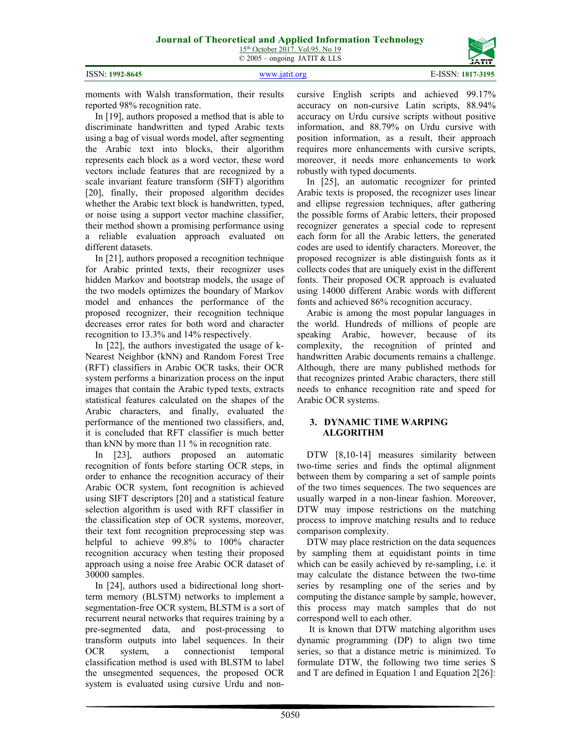ISSN: **1992-8645** www.jatit.org E-ISSN: **1817-3195**

moments with Walsh transformation, their results reported 98% recognition rate.

In [19], authors proposed a method that is able to discriminate handwritten and typed Arabic texts using a bag of visual words model, after segmenting the Arabic text into blocks, their algorithm represents each block as a word vector, these word vectors include features that are recognized by a scale invariant feature transform (SIFT) algorithm [20], finally, their proposed algorithm decides whether the Arabic text block is handwritten, typed, or noise using a support vector machine classifier, their method shown a promising performance using a reliable evaluation approach evaluated on different datasets.

In [21], authors proposed a recognition technique for Arabic printed texts, their recognizer uses hidden Markov and bootstrap models, the usage of the two models optimizes the boundary of Markov model and enhances the performance of the proposed recognizer, their recognition technique decreases error rates for both word and character recognition to 13.3% and 14% respectively.

In [22], the authors investigated the usage of k-Nearest Neighbor (kNN) and Random Forest Tree (RFT) classifiers in Arabic OCR tasks, their OCR system performs a binarization process on the input images that contain the Arabic typed texts, extracts statistical features calculated on the shapes of the Arabic characters, and finally, evaluated the performance of the mentioned two classifiers, and, it is concluded that RFT classifier is much better than kNN by more than 11 % in recognition rate.

In [23], authors proposed an automatic recognition of fonts before starting OCR steps, in order to enhance the recognition accuracy of their Arabic OCR system, font recognition is achieved using SIFT descriptors [20] and a statistical feature selection algorithm is used with RFT classifier in the classification step of OCR systems, moreover, their text font recognition preprocessing step was helpful to achieve 99.8% to 100% character recognition accuracy when testing their proposed approach using a noise free Arabic OCR dataset of 30000 samples.

In [24], authors used a bidirectional long shortterm memory (BLSTM) networks to implement a segmentation-free OCR system, BLSTM is a sort of recurrent neural networks that requires training by a pre-segmented data, and post-processing to transform outputs into label sequences. In their OCR system, a connectionist temporal classification method is used with BLSTM to label the unsegmented sequences, the proposed OCR system is evaluated using cursive Urdu and noncursive English scripts and achieved 99.17% accuracy on non-cursive Latin scripts, 88.94% accuracy on Urdu cursive scripts without positive information, and 88.79% on Urdu cursive with position information, as a result, their approach requires more enhancements with cursive scripts, moreover, it needs more enhancements to work robustly with typed documents.

In [25], an automatic recognizer for printed Arabic texts is proposed, the recognizer uses linear and ellipse regression techniques, after gathering the possible forms of Arabic letters, their proposed recognizer generates a special code to represent each form for all the Arabic letters, the generated codes are used to identify characters. Moreover, the proposed recognizer is able distinguish fonts as it collects codes that are uniquely exist in the different fonts. Their proposed OCR approach is evaluated using 14000 different Arabic words with different fonts and achieved 86% recognition accuracy.

Arabic is among the most popular languages in the world. Hundreds of millions of people are speaking Arabic, however, because of its complexity, the recognition of printed and handwritten Arabic documents remains a challenge. Although, there are many published methods for that recognizes printed Arabic characters, there still needs to enhance recognition rate and speed for Arabic OCR systems.

#### **3. DYNAMIC TIME WARPING ALGORITHM**

DTW [8,10-14] measures similarity between two-time series and finds the optimal alignment between them by comparing a set of sample points of the two times sequences. The two sequences are usually warped in a non-linear fashion. Moreover, DTW may impose restrictions on the matching process to improve matching results and to reduce comparison complexity.

DTW may place restriction on the data sequences by sampling them at equidistant points in time which can be easily achieved by re-sampling, i.e. it may calculate the distance between the two-time series by resampling one of the series and by computing the distance sample by sample, however, this process may match samples that do not correspond well to each other.

 It is known that DTW matching algorithm uses dynamic programming (DP) to align two time series, so that a distance metric is minimized. To formulate DTW, the following two time series S and T are defined in Equation 1 and Equation 2[26]: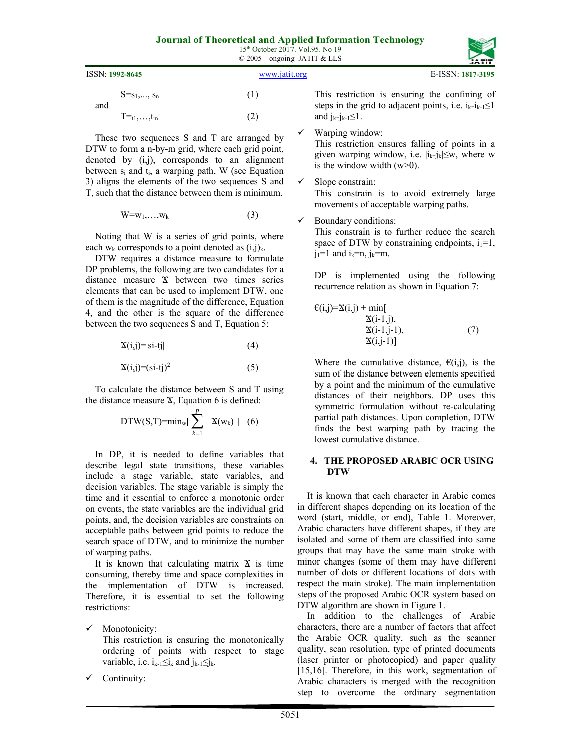| $15th$ October 2017. Vol.95. No 19 |
|------------------------------------|
| $\odot$ 2005 – ongoing JATIT & LLS |

|                                | $\approx$ 2009 ongoing 31.111 & LLD | <b>JATIT</b>                                                                                   |
|--------------------------------|-------------------------------------|------------------------------------------------------------------------------------------------|
| ISSN: 1992-8645                | www.jatit.org                       | E-ISSN: 1817-3195                                                                              |
| $S = S_1, \ldots, S_n$         | ΊI                                  | This restriction is ensuring the confining of                                                  |
| and<br>$T =_{t1}, \ldots, t_m$ | $\mathbf{2}^{\circ}$                | steps in the grid to adjacent points, i.e. $i_k - i_{k-1} \leq 1$<br>and $j_k-j_{k-1}\leq 1$ . |

These two sequences S and T are arranged by DTW to form a n-by-m grid, where each grid point, denoted by (i,j), corresponds to an alignment between  $s_i$  and  $t_i$ , a warping path, W (see Equation 3) aligns the elements of the two sequences S and T, such that the distance between them is minimum.

$$
W = w_1, \ldots, w_k \tag{3}
$$

Noting that W is a series of grid points, where each  $w_k$  corresponds to a point denoted as  $(i,j)_k$ .

DTW requires a distance measure to formulate DP problems, the following are two candidates for a distance measure Ϫ between two times series elements that can be used to implement DTW, one of them is the magnitude of the difference, Equation 4, and the other is the square of the difference between the two sequences S and T, Equation 5:

$$
\mathbf{\tilde{x}}(i,j)=|si-tj| \tag{4}
$$

$$
\mathbf{\tilde{x}}(i,j)=(si-tj)^2\tag{5}
$$

To calculate the distance between S and T using the distance measure  $X$ , Equation 6 is defined:

$$
DTW(S,T)=min_{w}[\sum_{k=1}^{p} \quad \mathbf{\hat{x}}(w_k)] \quad (6)
$$

In DP, it is needed to define variables that describe legal state transitions, these variables include a stage variable, state variables, and decision variables. The stage variable is simply the time and it essential to enforce a monotonic order on events, the state variables are the individual grid points, and, the decision variables are constraints on acceptable paths between grid points to reduce the search space of DTW, and to minimize the number of warping paths.

It is known that calculating matrix  $\mathbf{\hat{x}}$  is time consuming, thereby time and space complexities in the implementation of DTW is increased. Therefore, it is essential to set the following restrictions:

- $\checkmark$  Monotonicity: This restriction is ensuring the monotonically ordering of points with respect to stage variable, i.e.  $i_{k-1} \leq i_k$  and  $j_{k-1} \leq j_k$ .
- Continuity:

and  $j_{k}$ - $j_{k-1} \leq l$ . Warping window:

This restriction ensures falling of points in a given warping window, i.e.  $|i_k-i_k| \leq w$ , where w is the window width  $(w>0)$ .

- $\checkmark$  Slope constrain: This constrain is to avoid extremely large movements of acceptable warping paths.
- $\checkmark$  Boundary conditions:

This constrain is to further reduce the search space of DTW by constraining endpoints,  $i_1=1$ ,  $j_1=1$  and  $i_k=n$ ,  $j_k=m$ .

DP is implemented using the following recurrence relation as shown in Equation 7:

$$
\mathcal{E}(i,j)=\mathbf{\hat{X}}(i,j) + \min[\mathbf{\hat{X}}(i-1,j), \mathbf{\hat{X}}(i-1,j-1), \mathbf{\hat{X}}(i,j-1)]
$$
\n(7)

Where the cumulative distance,  $\epsilon(i,j)$ , is the sum of the distance between elements specified by a point and the minimum of the cumulative distances of their neighbors. DP uses this symmetric formulation without re-calculating partial path distances. Upon completion, DTW finds the best warping path by tracing the lowest cumulative distance.

#### **4. THE PROPOSED ARABIC OCR USING DTW**

It is known that each character in Arabic comes in different shapes depending on its location of the word (start, middle, or end), Table 1. Moreover, Arabic characters have different shapes, if they are isolated and some of them are classified into same groups that may have the same main stroke with minor changes (some of them may have different number of dots or different locations of dots with respect the main stroke). The main implementation steps of the proposed Arabic OCR system based on DTW algorithm are shown in Figure 1.

In addition to the challenges of Arabic characters, there are a number of factors that affect the Arabic OCR quality, such as the scanner quality, scan resolution, type of printed documents (laser printer or photocopied) and paper quality [15,16]. Therefore, in this work, segmentation of Arabic characters is merged with the recognition step to overcome the ordinary segmentation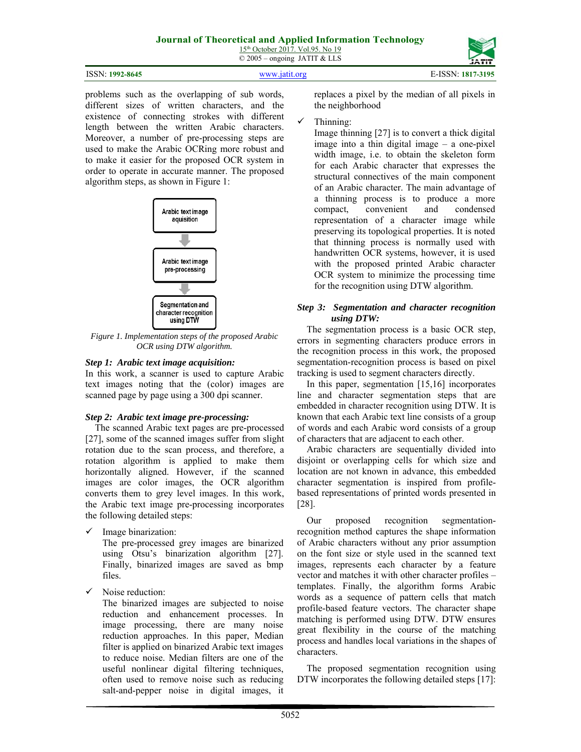| ISSN: 1992-8645 | www.jatit.org | E-ISSN: 1817-3195 |
|-----------------|---------------|-------------------|
|                 |               |                   |

problems such as the overlapping of sub words, different sizes of written characters, and the existence of connecting strokes with different length between the written Arabic characters. Moreover, a number of pre-processing steps are used to make the Arabic OCRing more robust and to make it easier for the proposed OCR system in order to operate in accurate manner. The proposed algorithm steps, as shown in Figure 1:



*Figure 1. Implementation steps of the proposed Arabic OCR using DTW algorithm.* 

# *Step 1: Arabic text image acquisition:*

In this work, a scanner is used to capture Arabic text images noting that the (color) images are scanned page by page using a 300 dpi scanner.

### *Step 2: Arabic text image pre-processing:*

The scanned Arabic text pages are pre-processed [27], some of the scanned images suffer from slight rotation due to the scan process, and therefore, a rotation algorithm is applied to make them horizontally aligned. However, if the scanned images are color images, the OCR algorithm converts them to grey level images. In this work, the Arabic text image pre-processing incorporates the following detailed steps:

 $\checkmark$  Image binarization:

The pre-processed grey images are binarized using Otsu's binarization algorithm [27]. Finally, binarized images are saved as bmp files.

 $\checkmark$  Noise reduction:

The binarized images are subjected to noise reduction and enhancement processes. In image processing, there are many noise reduction approaches. In this paper, Median filter is applied on binarized Arabic text images to reduce noise. Median filters are one of the useful nonlinear digital filtering techniques, often used to remove noise such as reducing salt-and-pepper noise in digital images, it replaces a pixel by the median of all pixels in the neighborhood

# Thinning:

Image thinning [27] is to convert a thick digital image into a thin digital image – a one-pixel width image, i.e. to obtain the skeleton form for each Arabic character that expresses the structural connectives of the main component of an Arabic character. The main advantage of a thinning process is to produce a more compact, convenient and condensed representation of a character image while preserving its topological properties. It is noted that thinning process is normally used with handwritten OCR systems, however, it is used with the proposed printed Arabic character OCR system to minimize the processing time for the recognition using DTW algorithm.

#### *Step 3: Segmentation and character recognition using DTW:*

The segmentation process is a basic OCR step, errors in segmenting characters produce errors in the recognition process in this work, the proposed segmentation-recognition process is based on pixel tracking is used to segment characters directly.

In this paper, segmentation [15,16] incorporates line and character segmentation steps that are embedded in character recognition using DTW. It is known that each Arabic text line consists of a group of words and each Arabic word consists of a group of characters that are adjacent to each other.

Arabic characters are sequentially divided into disjoint or overlapping cells for which size and location are not known in advance, this embedded character segmentation is inspired from profilebased representations of printed words presented in [28].

Our proposed recognition segmentationrecognition method captures the shape information of Arabic characters without any prior assumption on the font size or style used in the scanned text images, represents each character by a feature vector and matches it with other character profiles – templates. Finally, the algorithm forms Arabic words as a sequence of pattern cells that match profile-based feature vectors. The character shape matching is performed using DTW. DTW ensures great flexibility in the course of the matching process and handles local variations in the shapes of characters.

The proposed segmentation recognition using DTW incorporates the following detailed steps [17]: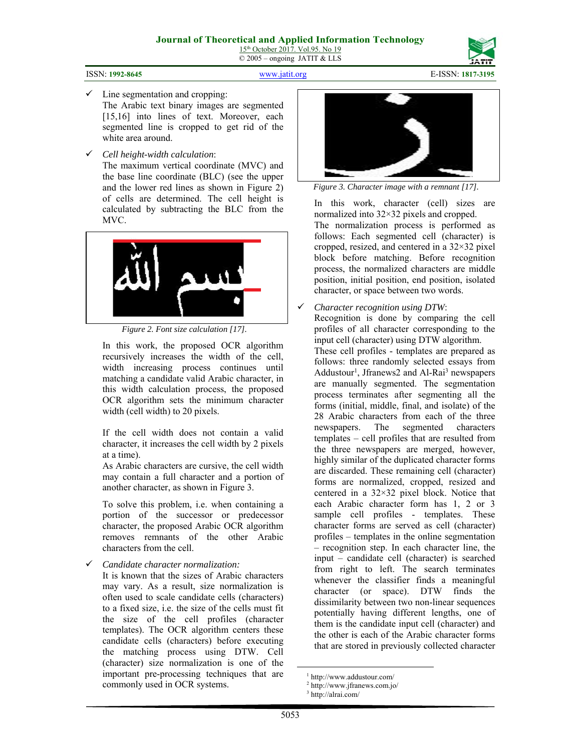

ISSN: **1992-8645** www.jatit.org E-ISSN: **1817-3195**

- $\checkmark$  Line segmentation and cropping: The Arabic text binary images are segmented [15,16] into lines of text. Moreover, each segmented line is cropped to get rid of the white area around.
- *Cell height-width calculation*:

The maximum vertical coordinate (MVC) and the base line coordinate (BLC) (see the upper and the lower red lines as shown in Figure 2) of cells are determined. The cell height is calculated by subtracting the BLC from the MVC.



*Figure 2. Font size calculation [17].* 

In this work, the proposed OCR algorithm recursively increases the width of the cell, width increasing process continues until matching a candidate valid Arabic character, in this width calculation process, the proposed OCR algorithm sets the minimum character width (cell width) to 20 pixels.

If the cell width does not contain a valid character, it increases the cell width by 2 pixels at a time).

As Arabic characters are cursive, the cell width may contain a full character and a portion of another character, as shown in Figure 3.

To solve this problem, i.e. when containing a portion of the successor or predecessor character, the proposed Arabic OCR algorithm removes remnants of the other Arabic characters from the cell.

*Candidate character normalization:* 

It is known that the sizes of Arabic characters may vary. As a result, size normalization is often used to scale candidate cells (characters) to a fixed size, i.e. the size of the cells must fit the size of the cell profiles (character templates). The OCR algorithm centers these candidate cells (characters) before executing the matching process using DTW. Cell (character) size normalization is one of the important pre-processing techniques that are commonly used in OCR systems.



*Figure 3. Character image with a remnant [17].* 

In this work, character (cell) sizes are normalized into 32×32 pixels and cropped. The normalization process is performed as follows: Each segmented cell (character) is cropped, resized, and centered in a 32×32 pixel block before matching. Before recognition process, the normalized characters are middle position, initial position, end position, isolated character, or space between two words.

*Character recognition using DTW*:

Recognition is done by comparing the cell profiles of all character corresponding to the input cell (character) using DTW algorithm.

These cell profiles - templates are prepared as follows: three randomly selected essays from Addustour<sup>1</sup>, Jfranews2 and Al-Rai<sup>3</sup> newspapers are manually segmented. The segmentation process terminates after segmenting all the forms (initial, middle, final, and isolate) of the 28 Arabic characters from each of the three newspapers. The segmented characters templates – cell profiles that are resulted from the three newspapers are merged, however, highly similar of the duplicated character forms are discarded. These remaining cell (character) forms are normalized, cropped, resized and centered in a 32×32 pixel block. Notice that each Arabic character form has 1, 2 or 3 sample cell profiles - templates. These character forms are served as cell (character) profiles – templates in the online segmentation – recognition step. In each character line, the input – candidate cell (character) is searched from right to left. The search terminates whenever the classifier finds a meaningful character (or space). DTW finds the dissimilarity between two non-linear sequences potentially having different lengths, one of them is the candidate input cell (character) and the other is each of the Arabic character forms that are stored in previously collected character

 $\frac{1}{1}$ http://www.addustour.com/

<sup>2</sup> http://www.jfranews.com.jo/

<sup>3</sup> http://alrai.com/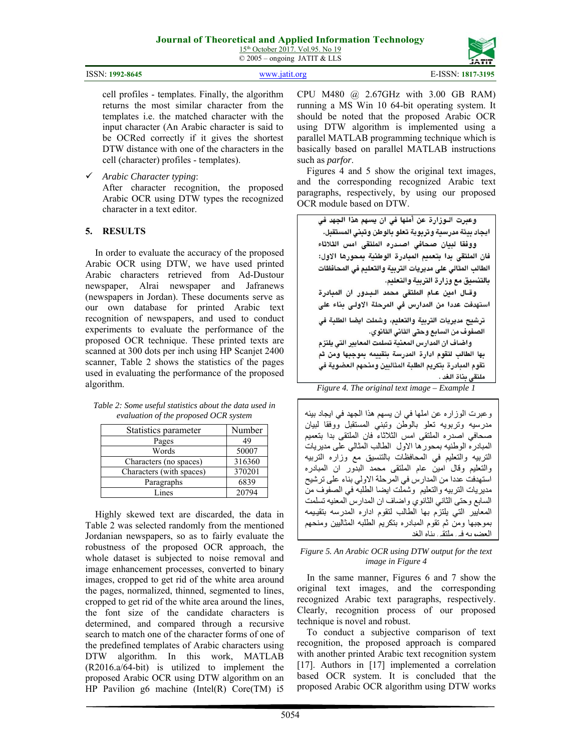15<sup>th</sup> October 2017. Vol.95. No 19 © 2005 – ongoing JATIT & LLS

| ISSN: 1992-8645<br>www.jatit.org | E-ISSN: 1817-3195 |
|----------------------------------|-------------------|
|----------------------------------|-------------------|

cell profiles - templates. Finally, the algorithm returns the most similar character from the templates i.e. the matched character with the input character (An Arabic character is said to be OCRed correctly if it gives the shortest DTW distance with one of the characters in the cell (character) profiles - templates).

*Arabic Character typing*:

After character recognition, the proposed Arabic OCR using DTW types the recognized character in a text editor.

#### **5. RESULTS**

In order to evaluate the accuracy of the proposed Arabic OCR using DTW, we have used printed Arabic characters retrieved from Ad-Dustour newspaper, Alrai newspaper and Jafranews (newspapers in Jordan). These documents serve as our own database for printed Arabic text recognition of newspapers, and used to conduct experiments to evaluate the performance of the proposed OCR technique. These printed texts are scanned at 300 dots per inch using HP Scanjet 2400 scanner, Table 2 shows the statistics of the pages used in evaluating the performance of the proposed algorithm.

| Statistics parameter     | Number |
|--------------------------|--------|
| Pages                    | 49     |
| Words                    | 50007  |
| Characters (no spaces)   | 316360 |
| Characters (with spaces) | 370201 |
| Paragraphs               | 6839   |
| Lines                    | 20794  |

*Table 2: Some useful statistics about the data used in evaluation of the proposed OCR system* 

Highly skewed text are discarded, the data in Table 2 was selected randomly from the mentioned Jordanian newspapers, so as to fairly evaluate the robustness of the proposed OCR approach, the whole dataset is subjected to noise removal and image enhancement processes, converted to binary images, cropped to get rid of the white area around the pages, normalized, thinned, segmented to lines, cropped to get rid of the white area around the lines, the font size of the candidate characters is determined, and compared through a recursive search to match one of the character forms of one of the predefined templates of Arabic characters using DTW algorithm. In this work, MATLAB (R2016.a/64-bit) is utilized to implement the proposed Arabic OCR using DTW algorithm on an HP Pavilion g6 machine (Intel(R) Core(TM) i5

CPU M480 @ 2.67GHz with 3.00 GB RAM) running a MS Win 10 64-bit operating system. It should be noted that the proposed Arabic OCR using DTW algorithm is implemented using a parallel MATLAB programming technique which is basically based on parallel MATLAB instructions such as *parfor*.

Figures 4 and 5 show the original text images, and the corresponding recognized Arabic text paragraphs, respectively, by using our proposed OCR module based on DTW.

وعبرت الـوزارة عن أملها في ان يسهم هذا الجهد في ايجاد بيئة مدرسية وتربوية تعلو بالوطن وتبنى المستقبل. ووفقا لبيان صحافى اصدره الملتقى امس الثلاثاء فان الملتقى بدا بتعميم المبادرة الوطنية بمحورها الاول: الطالب المثالي على مديريات التربية والتعليم في المحافظات بالتنسيق مع وزارة التربية والتعليم. وقال امين عام الملتقى محمد البدور ان المبادرة استهدفت عددا من المدارس في المرحلة الاولى بناء على

ترشيح مديريات التربية والتعليم، وشملت ايضا الطلبة في الصفوف من السابع وحتى الثاني الثانوي.

واضاف ان المدارس المعنية تسلمت المعايير التي يلتزم بها الطالب لتقوم ادارة المدرسة بتقييمه بموجبها ومن ثم تقوم المبادرة بتكريم الطلبة المثاليين ومنحهم العضوية في ملتقى بناة الغد .

*Figure 4. The original text image – Example 1* 

وعبرت الوزاره عن املها في ان يسهم هذا الجهد في ايجاد بيئه مدرسيه وتربويه تعلو بالوطن وتبني المستقبل ووفقا لبيان صحافي اصدره الملتقى امس الثلاثاء فان الملتقى بدا بتعميم المبادره الوطنيه بمحورها الاول الطالب المثالي على مديريات التربيه والتعليم في المحافظات بالتنسيق مع وزاره التربيه والتعليم وقال امين عام الملتقى محمد البدور ان المبادره استهدفت عددا من المدارس في المرحلة الاولي بناء على ترشيح مديريات التربيه والتعليم وشملت ايضا الطلبه في الصفوف من السابع وحتى الثاني الثانوي واضاف ان المدارس المعنيه تسلمت المعايير التي يلتزم بها الطالب لتقوم اداره المدرسه بتقيـيمه بموجبها ومن ثم تقوم المبادره بتكريم الطلبه المثاليين ومنحهم العضويه في ملتقى بناه الغد

*Figure 5. An Arabic OCR using DTW output for the text image in Figure 4* 

In the same manner, Figures 6 and 7 show the original text images, and the corresponding recognized Arabic text paragraphs, respectively. Clearly, recognition process of our proposed technique is novel and robust.

To conduct a subjective comparison of text recognition, the proposed approach is compared with another printed Arabic text recognition system [17]. Authors in [17] implemented a correlation based OCR system. It is concluded that the proposed Arabic OCR algorithm using DTW works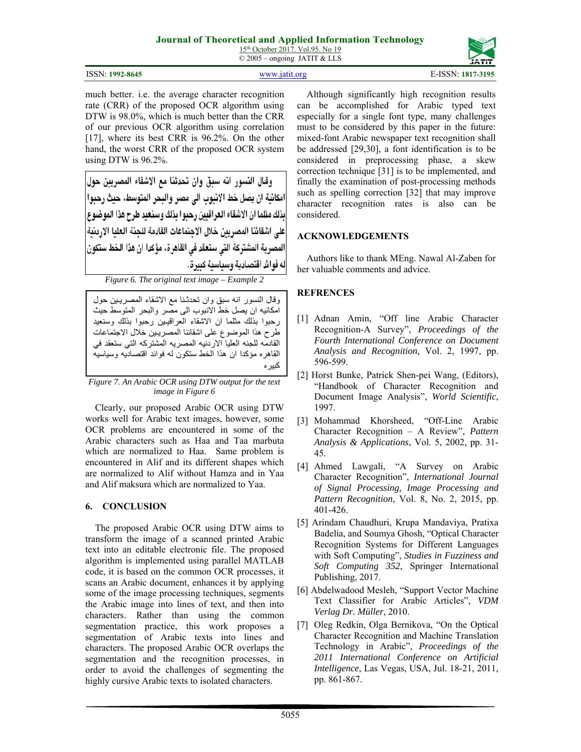15<sup>th</sup> October 2017. Vol.95. No 19 © 2005 – ongoing JATIT & LLS

ISSN: **1992-8645** www.jatit.org E-ISSN: **1817-3195**

much better. i.e. the average character recognition rate (CRR) of the proposed OCR algorithm using DTW is 98.0%, which is much better than the CRR of our previous OCR algorithm using correlation [17], where its best CRR is 96.2%. On the other hand, the worst CRR of the proposed OCR system using DTW is 96.2%.

وقال النسور انه سبق وان تحدثنا مع الاشقاء المصريين حول امكانية ان يصل خط الإنبوب الى مصر والبحر المتوسط، حيث رحبوا يذلك مثلما ان الاشقاء العر اقتين رحبو ا يذلك وسنعيد طرح هذا الموضوع على اشقائنا المصريين خلال الاجتماعات القادمة للجنة العليا الاردنية المصرية المشتركة التي ستعقد في القاهرة، مؤكدا ان هذا الخط ستكون له فوائد اقتصادية وسياسية كبيرة.

*Figure 6. The original text image – Example 2* 

وقال النسور انه سبق وان تحدثـنا مع الاشقاء المصريـين حول امكانيه ان يصل خط الانبوب الى مصر والبحر المتوسط حيث رحبوا بذلك مثلما ان الاشقاء العراقيـين رحبوا بذلك وسنعيد طرح هذا الموضوع على اشقائنا المصريـين خلال الاجتماعات القادمه للجنه العليا الاردنيه المصريه المشتركه التي ستعقد في القاهره مؤكدا ان هذا الخط ستكون له فوائد اقتصاديه وسياسيه كبيره

*Figure 7. An Arabic OCR using DTW output for the text image in Figure 6* 

Clearly, our proposed Arabic OCR using DTW works well for Arabic text images, however, some OCR problems are encountered in some of the Arabic characters such as Haa and Taa marbuta which are normalized to Haa. Same problem is encountered in Alif and its different shapes which are normalized to Alif without Hamza and in Yaa and Alif maksura which are normalized to Yaa.

### **6. CONCLUSION**

The proposed Arabic OCR using DTW aims to transform the image of a scanned printed Arabic text into an editable electronic file. The proposed algorithm is implemented using parallel MATLAB code, it is based on the common OCR processes, it scans an Arabic document, enhances it by applying some of the image processing techniques, segments the Arabic image into lines of text, and then into characters. Rather than using the common segmentation practice, this work proposes a segmentation of Arabic texts into lines and characters. The proposed Arabic OCR overlaps the segmentation and the recognition processes, in order to avoid the challenges of segmenting the highly cursive Arabic texts to isolated characters.

Although significantly high recognition results can be accomplished for Arabic typed text especially for a single font type, many challenges must to be considered by this paper in the future: mixed-font Arabic newspaper text recognition shall be addressed [29,30], a font identification is to be considered in preprocessing phase, a skew correction technique [31] is to be implemented, and finally the examination of post-processing methods such as spelling correction [32] that may improve character recognition rates is also can be considered.

### **ACKNOWLEDGEMENTS**

Authors like to thank MEng. Nawal Al-Zaben for her valuable comments and advice.

# **REFRENCES**

- [1] Adnan Amin, "Off line Arabic Character Recognition-A Survey", *Proceedings of the Fourth International Conference on Document Analysis and Recognition,* Vol. 2, 1997, pp. 596-599.
- [2] Horst Bunke, Patrick Shen-pei Wang, (Editors), "Handbook of Character Recognition and Document Image Analysis", *World Scientific*, 1997.
- [3] Mohammad Khorsheed, "Off-Line Arabic Character Recognition – A Review", *Pattern Analysis & Applications*, Vol. 5, 2002, pp. 31- 45.
- [4] Ahmed Lawgali, "A Survey on Arabic Character Recognition", *International Journal of Signal Processing, Image Processing and Pattern Recognition*, Vol. 8, No. 2, 2015, pp. 401-426.
- [5] Arindam Chaudhuri, Krupa Mandaviya, Pratixa Badelia, and Soumya Ghosh, "Optical Character Recognition Systems for Different Languages with Soft Computing", *Studies in Fuzziness and Soft Computing 352*, Springer International Publishing, 2017.
- [6] Abdelwadood Mesleh, "Support Vector Machine Text Classifier for Arabic Articles", *VDM Verlag Dr. Müller*, 2010.
- [7] Oleg Redkin, Olga Bernikova, "On the Optical Character Recognition and Machine Translation Technology in Arabic", *Proceedings of the 2011 International Conference on Artificial Intelligence*, Las Vegas, USA, Jul. 18-21, 2011, pp. 861-867.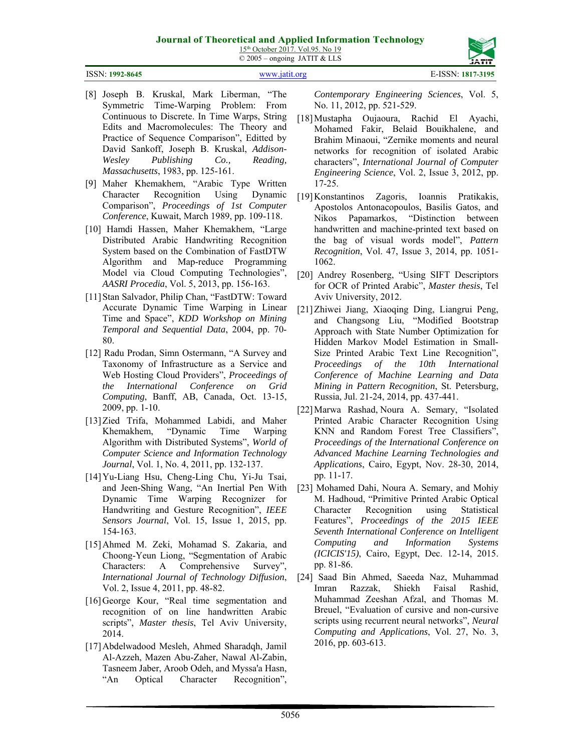15<sup>th</sup> October 2017. Vol.95. No 19 © 2005 – ongoing JATIT & LLS

#### ISSN: **1992-8645** www.jatit.org E-ISSN: **1817-3195**

- [8] Joseph B. Kruskal, Mark Liberman, "The Symmetric Time-Warping Problem: From Continuous to Discrete. In Time Warps, String Edits and Macromolecules: The Theory and Practice of Sequence Comparison", Editted by David Sankoff, Joseph B. Kruskal, *Addison-Wesley Publishing Co., Reading, Massachusetts*, 1983, pp. 125-161.
- [9] Maher Khemakhem, "Arabic Type Written Character Recognition Using Dynamic Comparison", *Proceedings of 1st Computer Conference*, Kuwait, March 1989, pp. 109-118.
- [10] Hamdi Hassen, Maher Khemakhem, "Large Distributed Arabic Handwriting Recognition System based on the Combination of FastDTW Algorithm and Map-reduce Programming Model via Cloud Computing Technologies", *AASRI Procedia*, Vol. 5, 2013, pp. 156-163.
- [11] Stan Salvador, Philip Chan, "FastDTW: Toward Accurate Dynamic Time Warping in Linear Time and Space", *KDD Workshop on Mining Temporal and Sequential Data*, 2004, pp. 70- 80.
- [12] Radu Prodan, Simn Ostermann, "A Survey and Taxonomy of Infrastructure as a Service and Web Hosting Cloud Providers", *Proceedings of the International Conference on Grid Computing*, Banff, AB, Canada, Oct. 13-15, 2009, pp. 1-10.
- [13] Zied Trifa, Mohammed Labidi, and Maher Khemakhem, "Dynamic Time Warping Algorithm with Distributed Systems", *World of Computer Science and Information Technology Journal*, Vol. 1, No. 4, 2011, pp. 132-137.
- [14] Yu-Liang Hsu, Cheng-Ling Chu, Yi-Ju Tsai, and Jeen-Shing Wang, "An Inertial Pen With Dynamic Time Warping Recognizer for Handwriting and Gesture Recognition", *IEEE Sensors Journal*, Vol. 15, Issue 1, 2015, pp. 154-163.
- [15] Ahmed M. Zeki, Mohamad S. Zakaria, and Choong-Yeun Liong, "Segmentation of Arabic Characters: A Comprehensive Survey", *International Journal of Technology Diffusion*, Vol. 2, Issue 4, 2011, pp. 48-82.
- [16] George Kour, "Real time segmentation and recognition of on line handwritten Arabic scripts", *Master thesis*, Tel Aviv University, 2014.
- [17] Abdelwadood Mesleh, Ahmed Sharadqh, Jamil Al-Azzeh, Mazen Abu-Zaher, Nawal Al-Zabin, Tasneem Jaber, Aroob Odeh, and Myssa'a Hasn, "An Optical Character Recognition",

*Contemporary Engineering Sciences*, Vol. 5, No. 11, 2012, pp. 521-529.

- [18] Mustapha Oujaoura, Rachid El Ayachi, Mohamed Fakir, Belaid Bouikhalene, and Brahim Minaoui, "Zernike moments and neural networks for recognition of isolated Arabic characters", *International Journal of Computer Engineering Science*, Vol. 2, Issue 3, 2012, pp. 17-25.
- [19] Konstantinos Zagoris, Ioannis Pratikakis, Apostolos Antonacopoulos, Basilis Gatos, and Nikos Papamarkos, "Distinction between handwritten and machine-printed text based on the bag of visual words model", *Pattern Recognition*, Vol. 47, Issue 3, 2014, pp. 1051- 1062.
- [20] Andrey Rosenberg, "Using SIFT Descriptors for OCR of Printed Arabic", *Master thesis*, Tel Aviv University, 2012.
- [21] Zhiwei Jiang, Xiaoqing Ding, Liangrui Peng, and Changsong Liu, "Modified Bootstrap Approach with State Number Optimization for Hidden Markov Model Estimation in Small-Size Printed Arabic Text Line Recognition", *Proceedings of the 10th International Conference of Machine Learning and Data Mining in Pattern Recognition*, St. Petersburg, Russia, Jul. 21-24, 2014, pp. 437-441.
- [22] Marwa Rashad, Noura A. Semary, "Isolated Printed Arabic Character Recognition Using KNN and Random Forest Tree Classifiers", *Proceedings of the International Conference on Advanced Machine Learning Technologies and Applications*, Cairo, Egypt, Nov. 28-30, 2014, pp. 11-17.
- [23] Mohamed Dahi, Noura A. Semary, and Mohiy M. Hadhoud, "Primitive Printed Arabic Optical Character Recognition using Statistical Features", *Proceedings of the 2015 IEEE Seventh International Conference on Intelligent Computing and Information Systems (ICICIS'15)*, Cairo, Egypt, Dec. 12-14, 2015. pp. 81-86.
- [24] Saad Bin Ahmed, Saeeda Naz, Muhammad Imran Razzak, Shiekh Faisal Rashid, Muhammad Zeeshan Afzal, and Thomas M. Breuel, "Evaluation of cursive and non-cursive scripts using recurrent neural networks", *Neural Computing and Applications*, Vol. 27, No. 3, 2016, pp. 603-613.